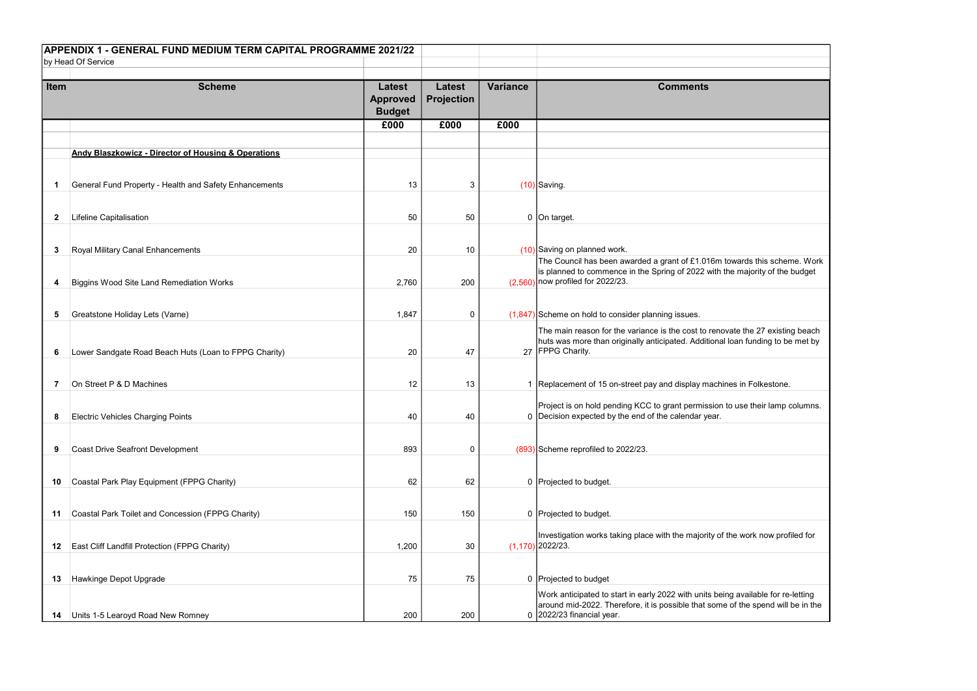|              | APPENDIX 1 - GENERAL FUND MEDIUM TERM CAPITAL PROGRAMME 2021/22<br>by Head Of Service |                                                   |                                    |                 |                                                                                                                                                                                                      |
|--------------|---------------------------------------------------------------------------------------|---------------------------------------------------|------------------------------------|-----------------|------------------------------------------------------------------------------------------------------------------------------------------------------------------------------------------------------|
| <b>Item</b>  | <b>Scheme</b>                                                                         | <b>Latest</b><br><b>Approved</b><br><b>Budget</b> | <b>Latest</b><br><b>Projection</b> | <b>Variance</b> | <b>Comments</b>                                                                                                                                                                                      |
|              |                                                                                       | £000                                              | £000                               | £000            |                                                                                                                                                                                                      |
|              | <b>Andy Blaszkowicz - Director of Housing &amp; Operations</b>                        |                                                   |                                    |                 |                                                                                                                                                                                                      |
|              | General Fund Property - Health and Safety Enhancements                                | 13                                                | 3                                  |                 | $(10)$ Saving.                                                                                                                                                                                       |
| $\mathbf{2}$ | Lifeline Capitalisation                                                               | 50                                                | 50                                 |                 | 0 On target.                                                                                                                                                                                         |
|              |                                                                                       |                                                   |                                    |                 |                                                                                                                                                                                                      |
| 3            | Royal Military Canal Enhancements                                                     | 20                                                | 10                                 |                 | (10) Saving on planned work.                                                                                                                                                                         |
| 4            | <b>Biggins Wood Site Land Remediation Works</b>                                       | 2,760                                             | 200                                |                 | The Council has been awarded a grant of £1.016m towards this scheme. Work<br>is planned to commence in the Spring of 2022 with the majority of the budget<br>$(2,560)$ now profiled for 2022/23.     |
|              |                                                                                       |                                                   |                                    |                 |                                                                                                                                                                                                      |
| 5            | Greatstone Holiday Lets (Varne)                                                       | 1,847                                             | 0                                  |                 | $(1,847)$ Scheme on hold to consider planning issues.                                                                                                                                                |
| 6            | Lower Sandgate Road Beach Huts (Loan to FPPG Charity)                                 | 20                                                | 47                                 |                 | The main reason for the variance is the cost to renovate the 27 existing beach<br>huts was more than originally anticipated. Additional loan funding to be met by<br>27 FPPG Charity.                |
|              |                                                                                       |                                                   |                                    |                 |                                                                                                                                                                                                      |
| 7            | On Street P & D Machines                                                              | 12                                                | 13                                 |                 | 1   Replacement of 15 on-street pay and display machines in Folkestone.                                                                                                                              |
| 8            | <b>Electric Vehicles Charging Points</b>                                              | 40                                                | 40                                 |                 | Project is on hold pending KCC to grant permission to use their lamp columns.<br>0 Decision expected by the end of the calendar year.                                                                |
| 9            | <b>Coast Drive Seafront Development</b>                                               | 893                                               | 0                                  |                 | (893) Scheme reprofiled to 2022/23.                                                                                                                                                                  |
| 10           | Coastal Park Play Equipment (FPPG Charity)                                            | 62                                                | 62                                 |                 | 0 Projected to budget.                                                                                                                                                                               |
|              |                                                                                       |                                                   |                                    |                 |                                                                                                                                                                                                      |
| 11           | Coastal Park Toilet and Concession (FPPG Charity)                                     | 150                                               | 150                                |                 | 0 Projected to budget.                                                                                                                                                                               |
| $12$         | East Cliff Landfill Protection (FPPG Charity)                                         | 1,200                                             | 30                                 |                 | Investigation works taking place with the majority of the work now profiled for<br>$(1,170)$ 2022/23.                                                                                                |
|              |                                                                                       |                                                   |                                    |                 |                                                                                                                                                                                                      |
| 13           | Hawkinge Depot Upgrade                                                                | 75                                                | 75                                 |                 | 0 Projected to budget                                                                                                                                                                                |
| 14           | Units 1-5 Learoyd Road New Romney                                                     | 200                                               | 200                                |                 | Work anticipated to start in early 2022 with units being available for re-letting<br>around mid-2022. Therefore, it is possible that some of the spend will be in the<br>$0$ 2022/23 financial year. |

| towards this scheme. Work<br>the majority of the budget        |
|----------------------------------------------------------------|
| ovate the 27 existing beach<br>al loan funding to be met by    |
| ines in Folkestone.                                            |
| n to use their lamp columns.                                   |
|                                                                |
|                                                                |
| of the work now profiled for                                   |
| eing available for re-letting<br>e of the spend will be in the |
|                                                                |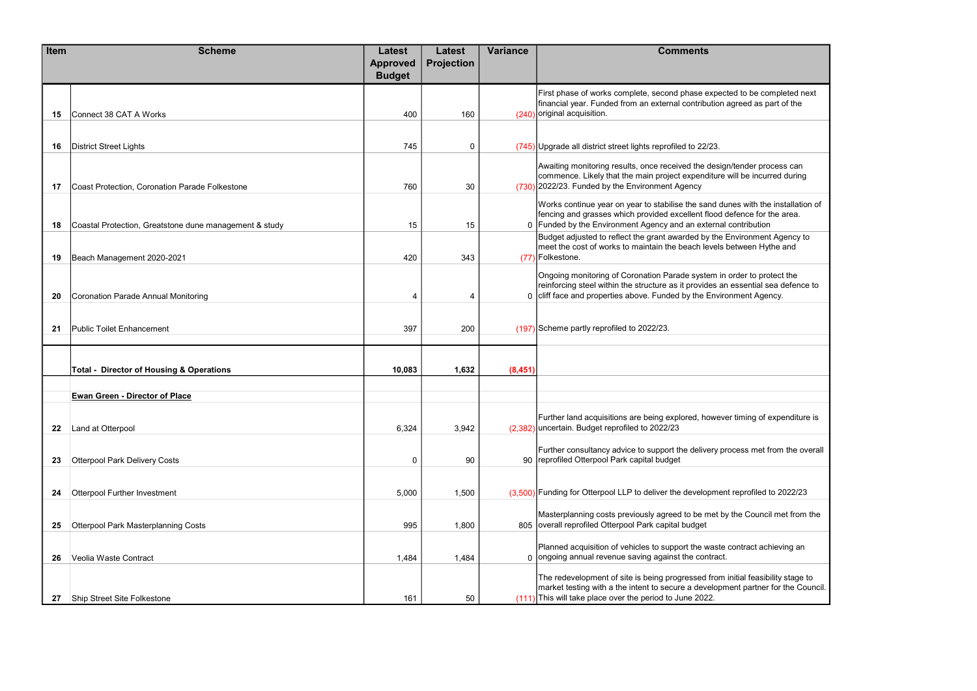| Item | <b>Scheme</b>                                          | <b>Latest</b>                    | <b>Latest</b>     | <b>Variance</b> | <b>Comments</b>                                                                                                                                                                                                                     |
|------|--------------------------------------------------------|----------------------------------|-------------------|-----------------|-------------------------------------------------------------------------------------------------------------------------------------------------------------------------------------------------------------------------------------|
|      |                                                        | <b>Approved</b><br><b>Budget</b> | <b>Projection</b> |                 |                                                                                                                                                                                                                                     |
| 15   | Connect 38 CAT A Works                                 | 400                              | 160               |                 | First phase of works complete, second phase expected to be completed next<br>financial year. Funded from an external contribution agreed as part of the<br>(240) original acquisition.                                              |
| 16   | District Street Lights                                 | 745                              | 0                 |                 | $(745)$ Upgrade all district street lights reprofiled to 22/23.                                                                                                                                                                     |
| 17   | Coast Protection, Coronation Parade Folkestone         | 760                              | 30                |                 | Awaiting monitoring results, once received the design/tender process can<br>commence. Likely that the main project expenditure will be incurred during<br>$(730)$ 2022/23. Funded by the Environment Agency                         |
| 18   | Coastal Protection, Greatstone dune management & study | 15                               | 15                |                 | Works continue year on year to stabilise the sand dunes with the installation of<br>fencing and grasses which provided excellent flood defence for the area.<br>0 Funded by the Environment Agency and an external contribution     |
| 19   | Beach Management 2020-2021                             | 420                              | 343               |                 | Budget adjusted to reflect the grant awarded by the Environment Agency to<br>meet the cost of works to maintain the beach levels between Hythe and<br>(77) Folkestone.                                                              |
| 20   | Coronation Parade Annual Monitoring                    | 4                                | 4                 |                 | Ongoing monitoring of Coronation Parade system in order to protect the<br>reinforcing steel within the structure as it provides an essential sea defence to<br>0 cliff face and properties above. Funded by the Environment Agency. |
| 21   | <b>Public Toilet Enhancement</b>                       | 397                              | 200               |                 | (197) Scheme partly reprofiled to 2022/23.                                                                                                                                                                                          |
|      | <b>Total - Director of Housing &amp; Operations</b>    | 10,083                           | 1,632             | (8,451)         |                                                                                                                                                                                                                                     |
|      | <b>Ewan Green - Director of Place</b>                  |                                  |                   |                 |                                                                                                                                                                                                                                     |
| 22   | Land at Otterpool                                      | 6,324                            | 3,942             |                 | Further land acquisitions are being explored, however timing of expenditure is<br>(2,382) uncertain. Budget reprofiled to 2022/23                                                                                                   |
| 23   | <b>Otterpool Park Delivery Costs</b>                   | 0                                | 90                |                 | Further consultancy advice to support the delivery process met from the overall<br>90 reprofiled Otterpool Park capital budget                                                                                                      |
| 24   | <b>Otterpool Further Investment</b>                    | 5,000                            | 1,500             |                 | (3,500) Funding for Otterpool LLP to deliver the development reprofiled to 2022/23                                                                                                                                                  |
| 25   | <b>Otterpool Park Masterplanning Costs</b>             | 995                              | 1,800             |                 | Masterplanning costs previously agreed to be met by the Council met from the<br>805 overall reprofiled Otterpool Park capital budget                                                                                                |
| 26   | Veolia Waste Contract                                  | 1,484                            | 1,484             |                 | Planned acquisition of vehicles to support the waste contract achieving an<br>0 ongoing annual revenue saving against the contract.                                                                                                 |
| 27   | Ship Street Site Folkestone                            | 161                              | 50                |                 | The redevelopment of site is being progressed from initial feasibility stage to<br>market testing with a the intent to secure a development partner for the Council.<br>$(111)$ This will take place over the period to June 2022.  |

| cted to be completed next<br>agreed as part of the                       |
|--------------------------------------------------------------------------|
|                                                                          |
| gn/tender process can<br>will be incurred during                         |
| unes with the installation of<br>defence for the area.<br>l contribution |
| <b>Environment Agency to</b><br>between Hythe and                        |
| n order to protect the<br>n essential sea defence to<br>ronment Agency.  |
|                                                                          |
|                                                                          |
| er timing of expenditure is/                                             |
| process met from the overall                                             |
| nt reprofiled to 2022/23                                                 |
| by the Council met from the                                              |
| e contract achieving an<br>t.                                            |
| n initial feasibility stage to<br>ment partner for the Council.          |
|                                                                          |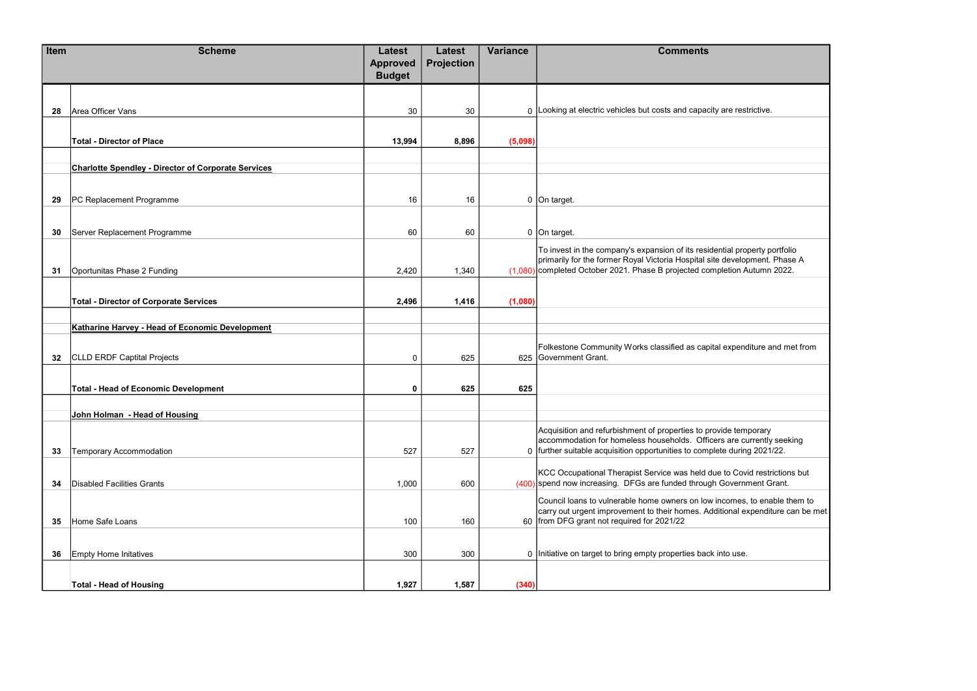| Item | <b>Scheme</b>                                              | <b>Latest</b>                    | <b>Latest</b>     | <b>Variance</b> | <b>Comments</b>                                                                                                                                             |
|------|------------------------------------------------------------|----------------------------------|-------------------|-----------------|-------------------------------------------------------------------------------------------------------------------------------------------------------------|
|      |                                                            | <b>Approved</b><br><b>Budget</b> | <b>Projection</b> |                 |                                                                                                                                                             |
|      |                                                            |                                  |                   |                 |                                                                                                                                                             |
| 28   | Area Officer Vans                                          | 30                               | 30                |                 | 0 Looking at electric vehicles but costs and capacity are restrictive.                                                                                      |
|      |                                                            |                                  |                   |                 |                                                                                                                                                             |
|      | <b>Total - Director of Place</b>                           | 13,994                           | 8,896             | (5,098)         |                                                                                                                                                             |
|      | <b>Charlotte Spendley - Director of Corporate Services</b> |                                  |                   |                 |                                                                                                                                                             |
|      |                                                            |                                  |                   |                 |                                                                                                                                                             |
| 29   | PC Replacement Programme                                   | 16                               | 16                |                 | 0 On target.                                                                                                                                                |
|      |                                                            |                                  |                   |                 |                                                                                                                                                             |
| 30   | Server Replacement Programme                               | 60                               | 60                |                 | 0 On target.                                                                                                                                                |
|      |                                                            |                                  |                   |                 | To invest in the company's expansion of its residential property portfolio<br>primarily for the former Royal Victoria Hospital site development. Phase A    |
| 31   | Oportunitas Phase 2 Funding                                | 2,420                            | 1,340             |                 | (1,080) completed October 2021. Phase B projected completion Autumn 2022.                                                                                   |
|      |                                                            |                                  |                   |                 |                                                                                                                                                             |
|      | <b>Total - Director of Corporate Services</b>              | 2,496                            | 1,416             | (1,080)         |                                                                                                                                                             |
|      | Katharine Harvey - Head of Economic Development            |                                  |                   |                 |                                                                                                                                                             |
|      |                                                            |                                  |                   |                 | Folkestone Community Works classified as capital expenditure and met from                                                                                   |
| 32   | <b>CLLD ERDF Captital Projects</b>                         | $\mathbf 0$                      | 625               |                 | 625 Government Grant.                                                                                                                                       |
|      | <b>Total - Head of Economic Development</b>                | $\mathbf 0$                      | 625               | 625             |                                                                                                                                                             |
|      |                                                            |                                  |                   |                 |                                                                                                                                                             |
|      | John Holman - Head of Housing                              |                                  |                   |                 |                                                                                                                                                             |
|      |                                                            |                                  |                   |                 | Acquisition and refurbishment of properties to provide temporary<br>accommodation for homeless households. Officers are currently seeking                   |
| 33   | <b>Temporary Accommodation</b>                             | 527                              | 527               |                 | 0 further suitable acquisition opportunities to complete during 2021/22.                                                                                    |
|      |                                                            |                                  |                   |                 | KCC Occupational Therapist Service was held due to Covid restrictions but                                                                                   |
| 34   | <b>Disabled Facilities Grants</b>                          | 1,000                            | 600               |                 | (400) spend now increasing. DFGs are funded through Government Grant.                                                                                       |
|      |                                                            |                                  |                   |                 | Council loans to vulnerable home owners on low incomes, to enable them to<br>carry out urgent improvement to their homes. Additional expenditure can be met |
| 35   | Home Safe Loans                                            | 100                              | 160               |                 | 60 from DFG grant not required for 2021/22                                                                                                                  |
|      |                                                            |                                  |                   |                 |                                                                                                                                                             |
| 36   | <b>Empty Home Initatives</b>                               | 300                              | 300               |                 | 0 Initiative on target to bring empty properties back into use.                                                                                             |
|      | <b>Total - Head of Housing</b>                             | 1,927                            | 1,587             | (340)           |                                                                                                                                                             |
|      |                                                            |                                  |                   |                 |                                                                                                                                                             |

| are restrictive.                                                        |
|-------------------------------------------------------------------------|
|                                                                         |
|                                                                         |
|                                                                         |
|                                                                         |
| ntial property portfolio<br>development. Phase A<br>letion Autumn 2022. |
|                                                                         |
|                                                                         |
| expenditure and met from                                                |
|                                                                         |
| ide temporary<br>s are currently seeking<br>te during 2021/22.          |
| to Covid restrictions but<br>Government Grant.                          |
| comes, to enable them to<br>tional expenditure can be met               |
| าto use.                                                                |
|                                                                         |